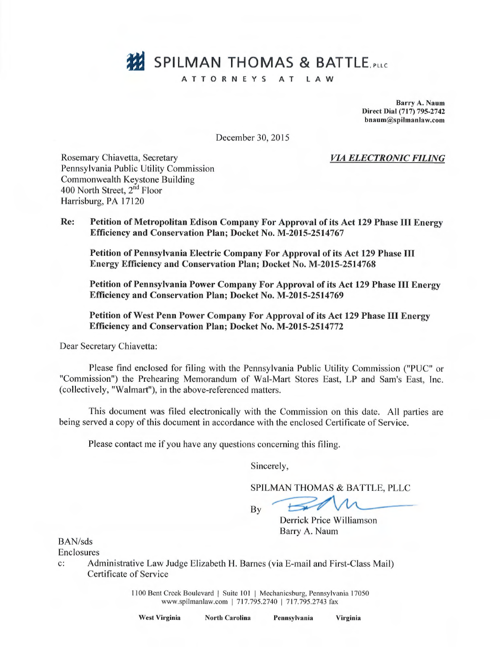# SPILMAN THOMAS & BATTLE, PLLC

## ATTORNEYS AT LAW

Barry A. Naum Direct Dial (717) 795-2742 bnaum@spilmanlaw.com

December 30, 2015

VIA ELECTRONIC FILING

Rosemary Chiavetta, Secretary Pennsylvania Public Utility Commission Commonwealth Keystone Building 400 North Street, 2<sup>nd</sup> Floor Harrisburg, PA 17120

Re: Petition of Metropolitan Edison Company For Approval of its Act 129 Phase III Energy Efficiency and Conservation Plan; Docket No. M-2015-2514767

Petition of Pennsylvania Electric Company For Approval of its Act 129 Phase III Energy Efficiency and Conservation Plan; Docket No. M-2015-2514768

Petition of Pennsylvania Power Company For Approval of its Act 129 Phase III Energy Efficiency and Conservation Plan; Docket No. M-2015-2514769

Petition of West Penn Power Company For Approval of its Act 129 Phase III Energy Efficiency and Conservation Plan; Docket No. M-2015-2514772

Dear Secretary Chiavetta:

Please find enclosed for filing with the Pennsylvania Public Utility Commission ("PUC" or "Commission") the Prehearing Memorandum of Wal-Mart Stores East, LP and Sam's East, Inc. (collectively, "Walmart"), in the above-referenced matters.

This document was filed electronically with the Commission on this date. A11 parties are being served a copy of this document in accordance with the enclosed Certificate of Service.

Please contact me if you have any questions concerning this filing.

Sincerely,

SPILMAN THOMAS & BATTLE, PLLC

By

Derrick Price Williamson

Barry A. Naum

BAN/sds

Enclosures

c: Administrative Law Judge Elizabeth H. Barnes (via E-mail and First-Class Mail) Certificate of Service

> 1100 Bent Creek Boulevard | Suite 101 | Mechanicsburg, Pennsylvania 17050 www.spilmanlaw.com | 717.795.2740 | 717.795.2743 fax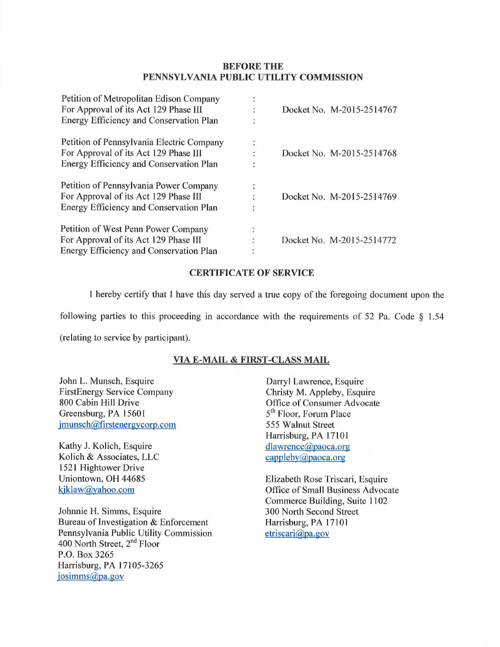### BEFORE THE PENNSYLVANIA PUBLIC UTILITY COMMISSION

| Petition of Metropolitan Edison Company        |                |                           |
|------------------------------------------------|----------------|---------------------------|
| For Approval of its Act 129 Phase III          |                | Docket No. M-2015-2514767 |
| Energy Efficiency and Conservation Plan        |                |                           |
| Petition of Pennsylvania Electric Company      | $\ddot{\cdot}$ |                           |
| For Approval of its Act 129 Phase III          |                | Docket No. M-2015-2514768 |
| Energy Efficiency and Conservation Plan        | $\cdot$        |                           |
| Petition of Pennsylvania Power Company         |                |                           |
| For Approval of its Act 129 Phase III          |                | Docket No. M-2015-2514769 |
| Energy Efficiency and Conservation Plan        |                |                           |
| Petition of West Penn Power Company            |                |                           |
| For Approval of its Act 129 Phase III          |                | Docket No. M-2015-2514772 |
| <b>Energy Efficiency and Conservation Plan</b> |                |                           |

#### CERTIFICATE OF SERVICE

I hereby certify that I have this day served a true copy of the foregoing document upon the following parties to this proceeding in accordance with the requirements of 52 Pa. Code  $\S$  1.54

(relating to service by participant).

# VIA E-MAIL & FIRST-CLASS MAIL

John L. Munsch, Esquire FirstEnergy Service Company 800 Cabin Hill Drive Greensburg, PA 15601 jmunsch@firstenergycorp.com

Kathy J. Kolich, Esquire Kolich & Associates, LLC 1521 Hightower Drive Uniontown, OH 44685 kjklaw@yahoo.com

Johnnie H. Simms, Esquire Bureau of Investigation & Enforcement Pennsylvania Public Utility Commission 400 North Street, 2<sup>nd</sup> Floor P.O. Box 3265 Harrisburg, PA 17105-3265 josimms@pa.gov

Darryl Lawrence, Esquire Christy M. Appleby, Esquire Office of Consumer Advocate 5<sup>th</sup> Floor, Forum Place 555 Walnut Street Harrisburg, PA 17101 dlawrence@paoca.org cappleby@paoca.org

Elizabeth Rose Triscari, Esquire Office of Small Business Advocate Commerce Building, Suite 1102 300 North Second Street Harrisburg, PA 17101 etriscari@pa.gov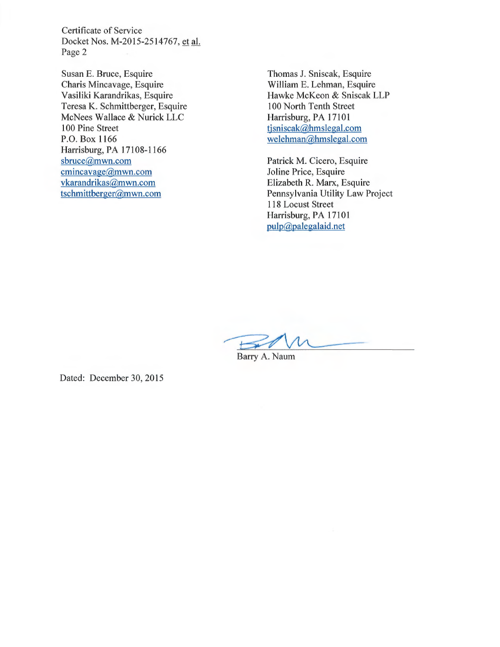Certificate of Service Docket Nos. M-2015-2514767, et al. Page 2

Susan E. Bruce, Esquire Charis Mincavage, Esquire Vasiliki Karandrikas, Esquire Teresa K. Schmittberger, Esquire McNees Wallace & Nurick LLC 100 Pine Street P.O. Box 1166 Harrisburg, PA 17108-1166 sbruce@mwn.com cmincavage@mwn.com vkarandrikas@mwn.com tschmittberger@mwn.com

Thomas J. Sniscak, Esquire William E. Lehman, Esquire Hawke McKeon & Sniscak LLP 100 North Tenth Street Harrisburg, PA 17101 tjsniscak@hmslegal.com welehman@hmslegal.com

Patrick M. Cicero, Esquire Joline Price, Esquire Elizabeth R. Marx, Esquire Pennsylvania Utility Law Project 118 Locust Street Harrisburg, PA 17101 pulp@palegalaid.net

Barry A. Naum

Dated: December 30, 2015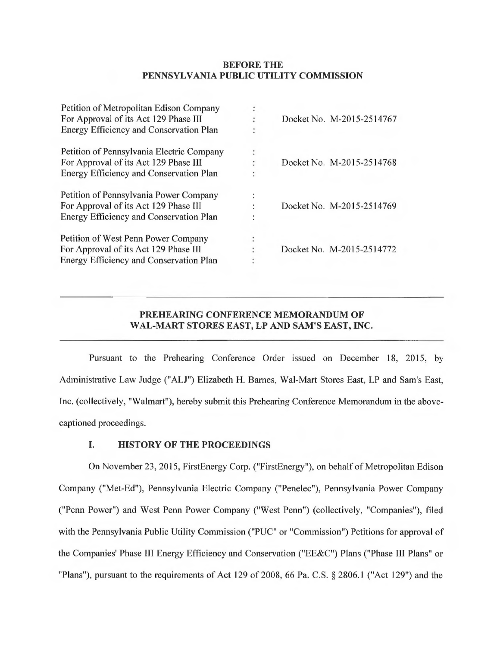#### BEFORE THE PENNSYLVANIA PUBLIC UTILITY COMMISSION

|                      | Docket No. M-2015-2514767 |
|----------------------|---------------------------|
| ٠                    |                           |
| $\ddot{\cdot}$       |                           |
| ٠                    | Docket No. M-2015-2514768 |
| ÷                    |                           |
| $\ddot{\phantom{a}}$ |                           |
|                      | Docket No. M-2015-2514769 |
| $\bullet$            |                           |
|                      |                           |
|                      | Docket No. M-2015-2514772 |
|                      |                           |
|                      |                           |

## PREHEARING CONFERENCE MEMORANDUM OF WAL-MART STORES EAST, LP AND SAM'S EAST, INC.

Pursuant to the Prehearing Conference Order issued on December 18, 2015, by Administrative Law Judge ("ALJ") Elizabeth H. Barnes, Wal-Mart Stores East, LP and Sam's East, Inc. (collectively, "Walmart"), hereby submit this Prehearing Conference Memorandum in the abovecaptioned proceedings.

## I. HISTORY OF THE PROCEEDINGS

On November 23, 2015, FirstEnergy Corp. ("FirstEnergy"), on behalf of Metropolitan Edison Company ("Met-Ed"), Pennsylvania Electric Company ("Penelec"), Pennsylvania Power Company ("Penn Power") and West Penn Power Company ("West Penn") (collectively, "Companies"), filed with the Pennsylvania Public Utility Commission ("PUC" or "Commission") Petitions for approval of the Companies' Phase III Energy Efficiency and Conservation ("EE&C") Plans ("Phase III Plans" or "Plans"), pursuant to the requirements of Act 129 of 2008, 66 Pa. C.S. § 2806.1 ("Act 129") and the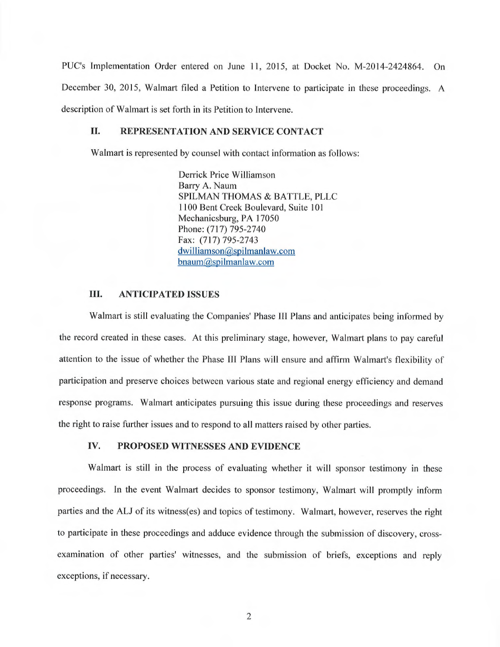PUC's Implementation Order entered on June 11, 2015, at Docket No. M-2014-2424864. On December 30, 2015, Walmart filed a Petition to Intervene to participate in these proceedings. A description of Walmart is set forth in its Petition to Intervene.

#### II. REPRESENTATION AND SERVICE CONTACT

Walmart is represented by counsel with contact information as follows:

Derrick Price Williamson Barry A. Naum SPILMAN THOMAS & BATTLE, PLLC 1100 Bent Creek Boulevard, Suite 101 Mechanicsburg, PA 17050 Phone: (717) 795-2740 Fax: (717) 795-2743 dwilliamson@spilmanlaw.com bnaum@spilmanlaw.com

#### III. ANTICIPATED ISSUES

Walmart is still evaluating the Companies' Phase III Plans and anticipates being informed by the record created in these cases. At this preliminary stage, however, Walmart plans to pay careful attention to the issue of whether the Phase III Plans will ensure and affirm Walmart's flexibility of participation and preserve choices between various state and regional energy efficiency and demand response programs. Walmart anticipates pursuing this issue during these proceedings and reserves the right to raise further issues and to respond to all matters raised by other parties.

#### IV. PROPOSED WITNESSES AND EVIDENCE

Walmart is still in the process of evaluating whether it will sponsor testimony in these proceedings. In the event Walmart decides to sponsor testimony, Walmart will promptly inform parties and the ALJ of its witness(es) and topics of testimony. Walmart, however, reserves the right to participate in these proceedings and adduce evidence through the submission of discovery, crossexamination of other parties' witnesses, and the submission of briefs, exceptions and reply exceptions, if necessary.